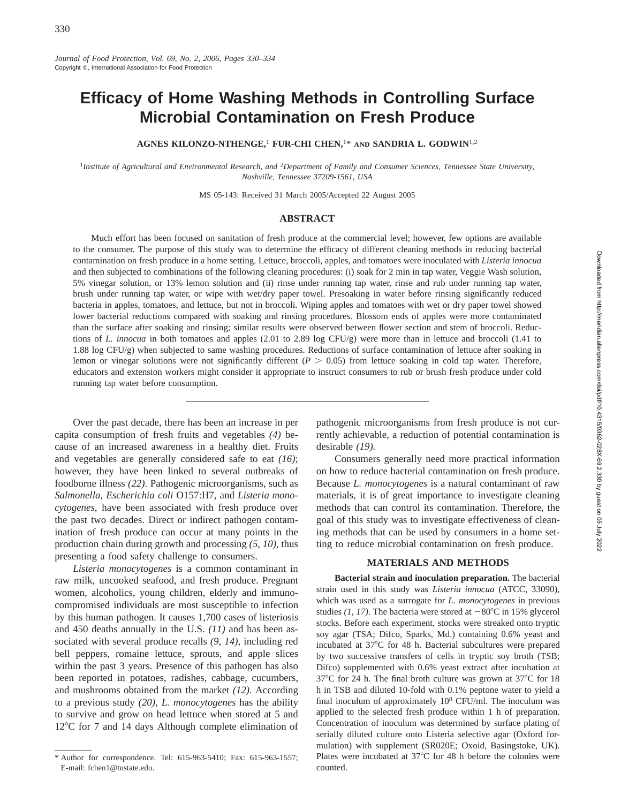# **Efficacy of Home Washing Methods in Controlling Surface Microbial Contamination on Fresh Produce**

**AGNES KILONZO-NTHENGE,**<sup>1</sup> **FUR-CHI CHEN,**1\* **AND SANDRIA L. GODWIN**1,2

<sup>1</sup>*Institute of Agricultural and Environmental Research, and* <sup>2</sup>*Department of Family and Consumer Sciences, Tennessee State University, Nashville, Tennessee 37209-1561, USA*

MS 05-143: Received 31 March 2005/Accepted 22 August 2005

## **ABSTRACT**

Much effort has been focused on sanitation of fresh produce at the commercial level; however, few options are available to the consumer. The purpose of this study was to determine the efficacy of different cleaning methods in reducing bacterial contamination on fresh produce in a home setting. Lettuce, broccoli, apples, and tomatoes were inoculated with *Listeria innocua* and then subjected to combinations of the following cleaning procedures: (i) soak for 2 min in tap water, Veggie Wash solution, 5% vinegar solution, or 13% lemon solution and (ii) rinse under running tap water, rinse and rub under running tap water, brush under running tap water, or wipe with wet/dry paper towel. Presoaking in water before rinsing significantly reduced bacteria in apples, tomatoes, and lettuce, but not in broccoli. Wiping apples and tomatoes with wet or dry paper towel showed lower bacterial reductions compared with soaking and rinsing procedures. Blossom ends of apples were more contaminated than the surface after soaking and rinsing; similar results were observed between flower section and stem of broccoli. Reductions of *L. innocua* in both tomatoes and apples (2.01 to 2.89 log CFU/g) were more than in lettuce and broccoli (1.41 to 1.88 log CFU/g) when subjected to same washing procedures. Reductions of surface contamination of lettuce after soaking in lemon or vinegar solutions were not significantly different  $(P > 0.05)$  from lettuce soaking in cold tap water. Therefore, educators and extension workers might consider it appropriate to instruct consumers to rub or brush fresh produce under cold running tap water before consumption.

Over the past decade, there has been an increase in per capita consumption of fresh fruits and vegetables *(4)* because of an increased awareness in a healthy diet. Fruits and vegetables are generally considered safe to eat *(16)*; however, they have been linked to several outbreaks of foodborne illness *(22).* Pathogenic microorganisms, such as *Salmonella, Escherichia coli* O157:H7, and *Listeria monocytogenes,* have been associated with fresh produce over the past two decades. Direct or indirect pathogen contamination of fresh produce can occur at many points in the production chain during growth and processing *(5, 10),* thus presenting a food safety challenge to consumers.

*Listeria monocytogenes* is a common contaminant in raw milk, uncooked seafood, and fresh produce. Pregnant women, alcoholics, young children, elderly and immunocompromised individuals are most susceptible to infection by this human pathogen. It causes 1,700 cases of listeriosis and 450 deaths annually in the U.S. *(11)* and has been associated with several produce recalls *(9, 14),* including red bell peppers, romaine lettuce, sprouts, and apple slices within the past 3 years. Presence of this pathogen has also been reported in potatoes, radishes, cabbage, cucumbers, and mushrooms obtained from the market *(12).* According to a previous study *(20)*, *L. monocytogenes* has the ability to survive and grow on head lettuce when stored at 5 and  $12^{\circ}$ C for 7 and 14 days Although complete elimination of

pathogenic microorganisms from fresh produce is not currently achievable, a reduction of potential contamination is desirable *(19).*

Consumers generally need more practical information on how to reduce bacterial contamination on fresh produce. Because *L. monocytogenes* is a natural contaminant of raw materials, it is of great importance to investigate cleaning methods that can control its contamination. Therefore, the goal of this study was to investigate effectiveness of cleaning methods that can be used by consumers in a home setting to reduce microbial contamination on fresh produce.

#### **MATERIALS AND METHODS**

**Bacterial strain and inoculation preparation.** The bacterial strain used in this study was *Listeria innocua* (ATCC, 33090), which was used as a surrogate for *L. monocytogenes* in previous studies (1, 17). The bacteria were stored at  $-80^{\circ}$ C in 15% glycerol stocks. Before each experiment, stocks were streaked onto tryptic soy agar (TSA; Difco, Sparks, Md.) containing 0.6% yeast and incubated at 37°C for 48 h. Bacterial subcultures were prepared by two successive transfers of cells in tryptic soy broth (TSB; Difco) supplemented with 0.6% yeast extract after incubation at  $37^{\circ}$ C for 24 h. The final broth culture was grown at  $37^{\circ}$ C for 18 h in TSB and diluted 10-fold with 0.1% peptone water to yield a final inoculum of approximately 108 CFU/ml. The inoculum was applied to the selected fresh produce within 1 h of preparation. Concentration of inoculum was determined by surface plating of serially diluted culture onto Listeria selective agar (Oxford formulation) with supplement (SR020E; Oxoid, Basingstoke, UK). Plates were incubated at  $37^{\circ}$ C for 48 h before the colonies were counted.

<sup>\*</sup> Author for correspondence. Tel: 615-963-5410; Fax: 615-963-1557; E-mail: fchen1@tnstate.edu.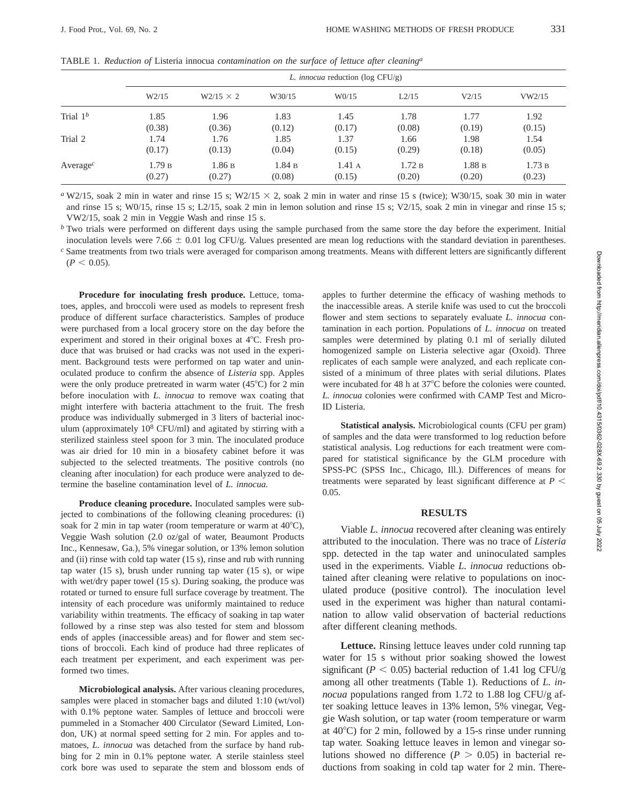|                                   | L. <i>innocua</i> reduction ( $log CFU/g$ ) |                  |                  |                 |                 |                 |                 |  |
|-----------------------------------|---------------------------------------------|------------------|------------------|-----------------|-----------------|-----------------|-----------------|--|
|                                   | W2/15                                       | $W2/15 \times 2$ | W30/15           | W0/15           | L2/15           | V2/15           | VW2/15          |  |
| Trial $1^b$                       | 1.85                                        | 1.96             | 1.83             | 1.45            | 1.78            | 1.77            | 1.92            |  |
|                                   | (0.38)                                      | (0.36)           | (0.12)           | (0.17)          | (0.08)          | (0.19)          | (0.15)          |  |
| Trial 2                           | 1.74                                        | 1.76             | 1.85             | 1.37            | 1.66            | 1.98            | 1.54            |  |
|                                   | (0.17)                                      | (0.13)           | (0.04)           | (0.15)          | (0.29)          | (0.18)          | (0.05)          |  |
| Average <sup><math>c</math></sup> | 1.79B<br>(0.27)                             | 1.86B<br>(0.27)  | 1.84 B<br>(0.08) | 1.41A<br>(0.15) | 1.72B<br>(0.20) | 1.88B<br>(0.20) | 1.73B<br>(0.23) |  |

TABLE 1. *Reduction of* Listeria innocua *contamination on the surface of lettuce after cleaning<sup>a</sup>*

*a* W2/15, soak 2 min in water and rinse 15 s; W2/15  $\times$  2, soak 2 min in water and rinse 15 s (twice); W30/15, soak 30 min in water and rinse 15 s; W0/15, rinse 15 s; L2/15, soak 2 min in lemon solution and rinse 15 s; V2/15, soak 2 min in vinegar and rinse 15 s; VW2/15, soak 2 min in Veggie Wash and rinse 15 s.

*<sup>b</sup>* Two trials were performed on different days using the sample purchased from the same store the day before the experiment. Initial inoculation levels were 7.66  $\pm$  0.01 log CFU/g. Values presented are mean log reductions with the standard deviation in parentheses. *<sup>c</sup>* Same treatments from two trials were averaged for comparison among treatments. Means with different letters are significantly different

 $(P < 0.05)$ .

**Procedure for inoculating fresh produce.** Lettuce, tomatoes, apples, and broccoli were used as models to represent fresh produce of different surface characteristics. Samples of produce were purchased from a local grocery store on the day before the experiment and stored in their original boxes at 4°C. Fresh produce that was bruised or had cracks was not used in the experiment. Background tests were performed on tap water and uninoculated produce to confirm the absence of *Listeria* spp. Apples were the only produce pretreated in warm water  $(45^{\circ}C)$  for 2 min before inoculation with *L. innocua* to remove wax coating that might interfere with bacteria attachment to the fruit. The fresh produce was individually submerged in 3 liters of bacterial inoculum (approximately 108 CFU/ml) and agitated by stirring with a sterilized stainless steel spoon for 3 min. The inoculated produce was air dried for 10 min in a biosafety cabinet before it was subjected to the selected treatments. The positive controls (no cleaning after inoculation) for each produce were analyzed to determine the baseline contamination level of *L. innocua.*

**Produce cleaning procedure.** Inoculated samples were subjected to combinations of the following cleaning procedures: (i) soak for 2 min in tap water (room temperature or warm at  $40^{\circ}$ C), Veggie Wash solution (2.0 oz/gal of water, Beaumont Products Inc., Kennesaw, Ga.), 5% vinegar solution, or 13% lemon solution and (ii) rinse with cold tap water (15 s), rinse and rub with running tap water (15 s), brush under running tap water (15 s), or wipe with wet/dry paper towel (15 s). During soaking, the produce was rotated or turned to ensure full surface coverage by treatment. The intensity of each procedure was uniformly maintained to reduce variability within treatments. The efficacy of soaking in tap water followed by a rinse step was also tested for stem and blossom ends of apples (inaccessible areas) and for flower and stem sections of broccoli. Each kind of produce had three replicates of each treatment per experiment, and each experiment was performed two times.

**Microbiological analysis.** After various cleaning procedures, samples were placed in stomacher bags and diluted 1:10 (wt/vol) with 0.1% peptone water. Samples of lettuce and broccoli were pummeled in a Stomacher 400 Circulator (Seward Limited, London, UK) at normal speed setting for 2 min. For apples and tomatoes, *L. innocua* was detached from the surface by hand rubbing for 2 min in 0.1% peptone water. A sterile stainless steel cork bore was used to separate the stem and blossom ends of apples to further determine the efficacy of washing methods to the inaccessible areas. A sterile knife was used to cut the broccoli flower and stem sections to separately evaluate *L. innocua* contamination in each portion. Populations of *L. innocua* on treated samples were determined by plating 0.1 ml of serially diluted homogenized sample on Listeria selective agar (Oxoid). Three replicates of each sample were analyzed, and each replicate consisted of a minimum of three plates with serial dilutions. Plates were incubated for 48 h at 37°C before the colonies were counted. *L. innocua* colonies were confirmed with CAMP Test and Micro-ID Listeria.

**Statistical analysis.** Microbiological counts (CFU per gram) of samples and the data were transformed to log reduction before statistical analysis. Log reductions for each treatment were compared for statistical significance by the GLM procedure with SPSS-PC (SPSS Inc., Chicago, Ill.). Differences of means for treatments were separated by least significant difference at  $P <$ 0.05.

#### **RESULTS**

Viable *L. innocua* recovered after cleaning was entirely attributed to the inoculation. There was no trace of *Listeria* spp. detected in the tap water and uninoculated samples used in the experiments. Viable *L. innocua* reductions obtained after cleaning were relative to populations on inoculated produce (positive control). The inoculation level used in the experiment was higher than natural contamination to allow valid observation of bacterial reductions after different cleaning methods.

**Lettuce.** Rinsing lettuce leaves under cold running tap water for 15 s without prior soaking showed the lowest significant ( $P < 0.05$ ) bacterial reduction of 1.41 log CFU/g among all other treatments (Table 1). Reductions of *L. innocua* populations ranged from 1.72 to 1.88 log CFU/g after soaking lettuce leaves in 13% lemon, 5% vinegar, Veggie Wash solution, or tap water (room temperature or warm at  $40^{\circ}$ C) for 2 min, followed by a 15-s rinse under running tap water. Soaking lettuce leaves in lemon and vinegar solutions showed no difference ( $P > 0.05$ ) in bacterial reductions from soaking in cold tap water for 2 min. There-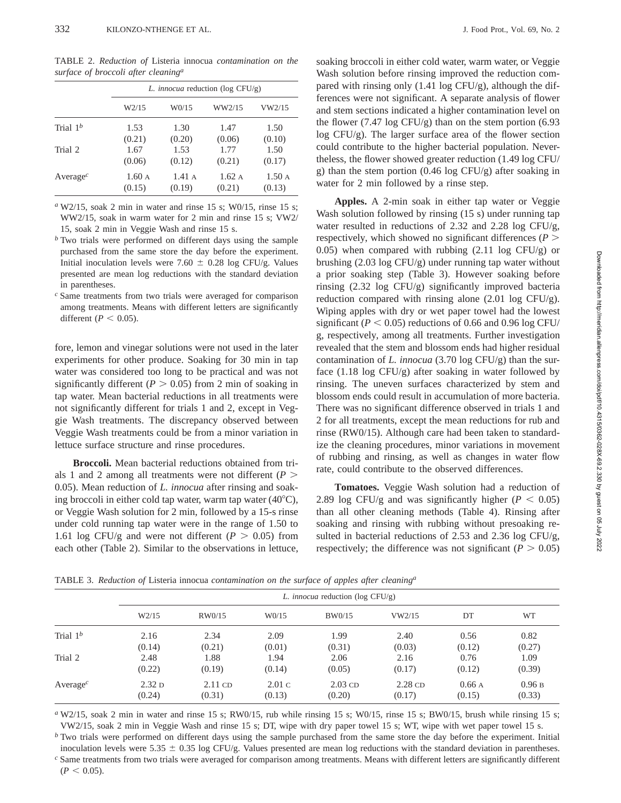TABLE 2. *Reduction of* Listeria innocua *contamination on the surface of broccoli after cleaninga*

|                                   | L. <i>innocua</i> reduction ( $log CFU/g$ ) |                 |                 |                 |  |  |
|-----------------------------------|---------------------------------------------|-----------------|-----------------|-----------------|--|--|
|                                   | W2/15                                       | W0/15           | WW2/15          | VW2/15          |  |  |
| Trial $1b$                        | 1.53                                        | 1.30            | 1.47            | 1.50            |  |  |
|                                   | (0.21)                                      | (0.20)          | (0.06)          | (0.10)          |  |  |
| Trial 2                           | 1.67                                        | 1.53            | 1.77            | 1.50            |  |  |
|                                   | (0.06)                                      | (0.12)          | (0.21)          | (0.17)          |  |  |
| Average <sup><math>c</math></sup> | 1.60A<br>(0.15)                             | 1.41A<br>(0.19) | 1.62A<br>(0.21) | 1.50A<br>(0.13) |  |  |

*<sup>a</sup>* W2/15, soak 2 min in water and rinse 15 s; W0/15, rinse 15 s; WW2/15, soak in warm water for 2 min and rinse 15 s; VW2/ 15, soak 2 min in Veggie Wash and rinse 15 s.

*<sup>b</sup>* Two trials were performed on different days using the sample purchased from the same store the day before the experiment. Initial inoculation levels were 7.60  $\pm$  0.28 log CFU/g. Values presented are mean log reductions with the standard deviation in parentheses.

*<sup>c</sup>* Same treatments from two trials were averaged for comparison among treatments. Means with different letters are significantly different ( $P < 0.05$ ).

fore, lemon and vinegar solutions were not used in the later experiments for other produce. Soaking for 30 min in tap water was considered too long to be practical and was not significantly different ( $P > 0.05$ ) from 2 min of soaking in tap water. Mean bacterial reductions in all treatments were not significantly different for trials 1 and 2, except in Veggie Wash treatments. The discrepancy observed between Veggie Wash treatments could be from a minor variation in lettuce surface structure and rinse procedures.

**Broccoli.** Mean bacterial reductions obtained from trials 1 and 2 among all treatments were not different  $(P >$ 0.05). Mean reduction of *L. innocua* after rinsing and soaking broccoli in either cold tap water, warm tap water  $(40^{\circ}C)$ , or Veggie Wash solution for 2 min, followed by a 15-s rinse under cold running tap water were in the range of 1.50 to 1.61 log CFU/g and were not different  $(P > 0.05)$  from each other (Table 2). Similar to the observations in lettuce, soaking broccoli in either cold water, warm water, or Veggie Wash solution before rinsing improved the reduction compared with rinsing only (1.41 log CFU/g), although the differences were not significant. A separate analysis of flower and stem sections indicated a higher contamination level on the flower (7.47 log CFU/g) than on the stem portion (6.93 log CFU/g). The larger surface area of the flower section could contribute to the higher bacterial population. Nevertheless, the flower showed greater reduction (1.49 log CFU/ g) than the stem portion (0.46 log CFU/g) after soaking in water for 2 min followed by a rinse step.

**Apples.** A 2-min soak in either tap water or Veggie Wash solution followed by rinsing  $(15 s)$  under running tap water resulted in reductions of 2.32 and 2.28 log CFU/g, respectively, which showed no significant differences ( $P$  > 0.05) when compared with rubbing  $(2.11 \log CFU/g)$  or brushing (2.03 log CFU/g) under running tap water without a prior soaking step (Table 3). However soaking before rinsing (2.32 log CFU/g) significantly improved bacteria reduction compared with rinsing alone (2.01 log CFU/g). Wiping apples with dry or wet paper towel had the lowest significant ( $P < 0.05$ ) reductions of 0.66 and 0.96 log CFU/ g, respectively, among all treatments. Further investigation revealed that the stem and blossom ends had higher residual contamination of *L. innocua* (3.70 log CFU/g) than the surface (1.18 log CFU/g) after soaking in water followed by rinsing. The uneven surfaces characterized by stem and blossom ends could result in accumulation of more bacteria. There was no significant difference observed in trials 1 and 2 for all treatments, except the mean reductions for rub and rinse (RW0/15). Although care had been taken to standardize the cleaning procedures, minor variations in movement of rubbing and rinsing, as well as changes in water flow rate, could contribute to the observed differences.

**Tomatoes.** Veggie Wash solution had a reduction of 2.89 log CFU/g and was significantly higher ( $P < 0.05$ ) than all other cleaning methods (Table 4). Rinsing after soaking and rinsing with rubbing without presoaking resulted in bacterial reductions of 2.53 and 2.36 log CFU/g, respectively; the difference was not significant ( $P > 0.05$ )

TABLE 3. *Reduction of* Listeria innocua *contamination on the surface of apples after cleaning<sup>a</sup>*

|             | L. <i>innocua</i> reduction ( $log CFU/g$ ) |           |                   |           |           |        |        |  |
|-------------|---------------------------------------------|-----------|-------------------|-----------|-----------|--------|--------|--|
|             | W2/15                                       | RW0/15    | W <sub>0/15</sub> | BW0/15    | VW2/15    | DT     | WT     |  |
| Trial $1^b$ | 2.16                                        | 2.34      | 2.09              | 1.99      | 2.40      | 0.56   | 0.82   |  |
|             | (0.14)                                      | (0.21)    | (0.01)            | (0.31)    | (0.03)    | (0.12) | (0.27) |  |
| Trial 2     | 2.48                                        | 1.88      | 1.94              | 2.06      | 2.16      | 0.76   | 1.09   |  |
|             | (0.22)                                      | (0.19)    | (0.14)            | (0.05)    | (0.17)    | (0.12) | (0.39) |  |
| Average $c$ | 2.32 <sub>D</sub>                           | $2.11$ CD | $2.01\text{ C}$   | $2.03$ CD | $2.28$ CD | 0.66A  | 0.96B  |  |
|             | (0.24)                                      | (0.31)    | (0.13)            | (0.20)    | (0.17)    | (0.15) | (0.33) |  |

*<sup>a</sup>* W2/15, soak 2 min in water and rinse 15 s; RW0/15, rub while rinsing 15 s; W0/15, rinse 15 s; BW0/15, brush while rinsing 15 s; VW2/15, soak 2 min in Veggie Wash and rinse 15 s; DT, wipe with dry paper towel 15 s; WT, wipe with wet paper towel 15 s.

*<sup>b</sup>* Two trials were performed on different days using the sample purchased from the same store the day before the experiment. Initial inoculation levels were  $5.35 \pm 0.35$  log CFU/g. Values presented are mean log reductions with the standard deviation in parentheses.

*<sup>c</sup>* Same treatments from two trials were averaged for comparison among treatments. Means with different letters are significantly different  $(P < 0.05)$ .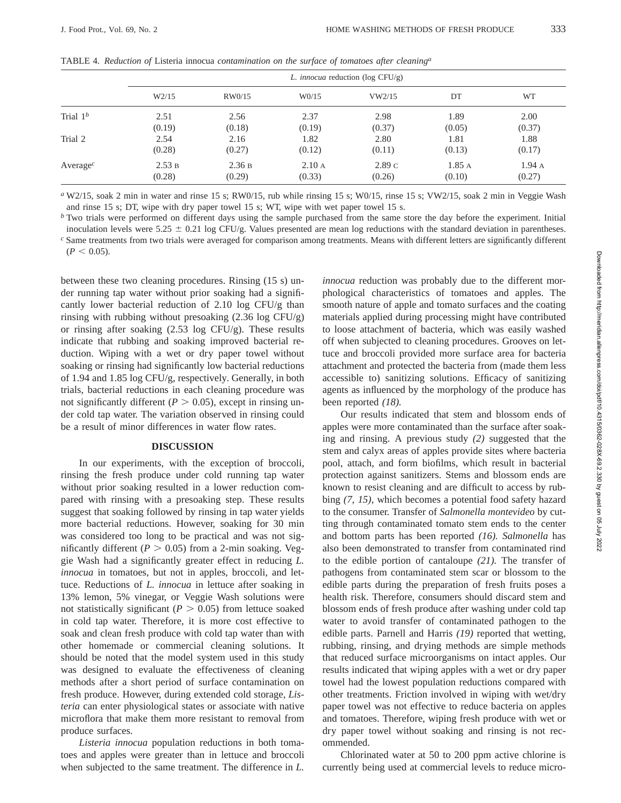|                                   | L. <i>innocua</i> reduction ( $log CFU/g$ ) |        |                    |                   |        |        |  |  |
|-----------------------------------|---------------------------------------------|--------|--------------------|-------------------|--------|--------|--|--|
|                                   | W2/15                                       | RW0/15 | W <sub>0</sub> /15 | VW2/15            | DT     | WT     |  |  |
| Trial $1^b$                       | 2.51                                        | 2.56   | 2.37               | 2.98              | 1.89   | 2.00   |  |  |
|                                   | (0.19)                                      | (0.18) | (0.19)             | (0.37)            | (0.05) | (0.37) |  |  |
| Trial 2                           | 2.54                                        | 2.16   | 1.82               | 2.80              | 1.81   | 1.88   |  |  |
|                                   | (0.28)                                      | (0.27) | (0.12)             | (0.11)            | (0.13) | (0.17) |  |  |
| Average <sup><math>c</math></sup> | 2.53B                                       | 2.36B  | 2.10A              | 2.89 <sub>C</sub> | 1.85A  | 1.94A  |  |  |
|                                   | (0.28)                                      | (0.29) | (0.33)             | (0.26)            | (0.10) | (0.27) |  |  |

TABLE 4. *Reduction of* Listeria innocua *contamination on the surface of tomatoes after cleaning<sup>a</sup>*

*<sup>a</sup>* W2/15, soak 2 min in water and rinse 15 s; RW0/15, rub while rinsing 15 s; W0/15, rinse 15 s; VW2/15, soak 2 min in Veggie Wash and rinse 15 s; DT, wipe with dry paper towel 15 s; WT, wipe with wet paper towel 15 s.

*b* Two trials were performed on different days using the sample purchased from the same store the day before the experiment. Initial inoculation levels were  $5.25 \pm 0.21$  log CFU/g. Values presented are mean log reductions with the standard deviation in parentheses. *<sup>c</sup>* Same treatments from two trials were averaged for comparison among treatments. Means with different letters are significantly different  $(P < 0.05)$ .

between these two cleaning procedures. Rinsing (15 s) under running tap water without prior soaking had a significantly lower bacterial reduction of 2.10 log CFU/g than rinsing with rubbing without presoaking (2.36 log CFU/g) or rinsing after soaking (2.53 log CFU/g). These results indicate that rubbing and soaking improved bacterial reduction. Wiping with a wet or dry paper towel without soaking or rinsing had significantly low bacterial reductions of 1.94 and 1.85 log CFU/g, respectively. Generally, in both trials, bacterial reductions in each cleaning procedure was not significantly different  $(P > 0.05)$ , except in rinsing under cold tap water. The variation observed in rinsing could be a result of minor differences in water flow rates.

### **DISCUSSION**

In our experiments, with the exception of broccoli, rinsing the fresh produce under cold running tap water without prior soaking resulted in a lower reduction compared with rinsing with a presoaking step. These results suggest that soaking followed by rinsing in tap water yields more bacterial reductions. However, soaking for 30 min was considered too long to be practical and was not significantly different  $(P > 0.05)$  from a 2-min soaking. Veggie Wash had a significantly greater effect in reducing *L. innocua* in tomatoes, but not in apples, broccoli, and lettuce. Reductions of *L. innocua* in lettuce after soaking in 13% lemon, 5% vinegar, or Veggie Wash solutions were not statistically significant ( $P > 0.05$ ) from lettuce soaked in cold tap water. Therefore, it is more cost effective to soak and clean fresh produce with cold tap water than with other homemade or commercial cleaning solutions. It should be noted that the model system used in this study was designed to evaluate the effectiveness of cleaning methods after a short period of surface contamination on fresh produce. However, during extended cold storage, *Listeria* can enter physiological states or associate with native microflora that make them more resistant to removal from produce surfaces.

*Listeria innocua* population reductions in both tomatoes and apples were greater than in lettuce and broccoli when subjected to the same treatment. The difference in *L.* *innocua* reduction was probably due to the different morphological characteristics of tomatoes and apples. The smooth nature of apple and tomato surfaces and the coating materials applied during processing might have contributed to loose attachment of bacteria, which was easily washed off when subjected to cleaning procedures. Grooves on lettuce and broccoli provided more surface area for bacteria attachment and protected the bacteria from (made them less accessible to) sanitizing solutions. Efficacy of sanitizing agents as influenced by the morphology of the produce has been reported *(18).*

Our results indicated that stem and blossom ends of apples were more contaminated than the surface after soaking and rinsing. A previous study *(2)* suggested that the stem and calyx areas of apples provide sites where bacteria pool, attach, and form biofilms, which result in bacterial protection against sanitizers. Stems and blossom ends are known to resist cleaning and are difficult to access by rubbing *(7, 15),* which becomes a potential food safety hazard to the consumer. Transfer of *Salmonella montevideo* by cutting through contaminated tomato stem ends to the center and bottom parts has been reported *(16). Salmonella* has also been demonstrated to transfer from contaminated rind to the edible portion of cantaloupe *(21).* The transfer of pathogens from contaminated stem scar or blossom to the edible parts during the preparation of fresh fruits poses a health risk. Therefore, consumers should discard stem and blossom ends of fresh produce after washing under cold tap water to avoid transfer of contaminated pathogen to the edible parts. Parnell and Harris *(19)* reported that wetting, rubbing, rinsing, and drying methods are simple methods that reduced surface microorganisms on intact apples. Our results indicated that wiping apples with a wet or dry paper towel had the lowest population reductions compared with other treatments. Friction involved in wiping with wet/dry paper towel was not effective to reduce bacteria on apples and tomatoes. Therefore, wiping fresh produce with wet or dry paper towel without soaking and rinsing is not recommended.

Chlorinated water at 50 to 200 ppm active chlorine is currently being used at commercial levels to reduce micro